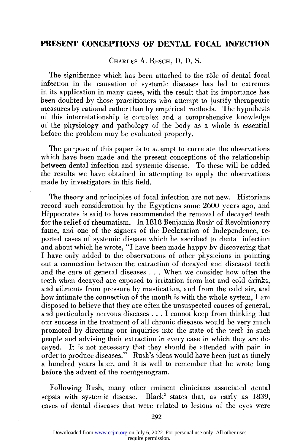CHARLES A. RESCH, D. D. S.

The significance which has been attached to the rôle of dental focal infection in the causation of systemic diseases has led to extremes in its application in many cases, with the result that its importance has been doubted by those practitioners who attempt to justify therapeutic measures by rational rather than by empirical methods. The hypothesis of this interrelationship is complex and a comprehensive knowledge of the physiology and pathology of the body as a whole is essential before the problem may be evaluated properly.

The purpose of this paper is to attempt to correlate the observations which have been made and the present conceptions of the relationship between dental infection and systemic disease. To these will be added the results we have obtained in attempting to apply the observations made by investigators in this field.

The theory and principles of focal infection are not new. Historians record such consideration by the Egyptians some 2600 years ago, and Hippocrates is said to have recommended the removal of decayed teeth for the relief of rheumatism. In 1818 Benjamin Rush<sup>1</sup> of Revolutionary fame, and one of the signers of the Declaration of Independence, reported cases of systemic disease which he ascribed to dental infection and about which he wrote, "I have been made happy by discovering that I have only added to the observations of other physicians in pointing out a connection between the extraction of decayed and diseased teeth and the cure of general diseases . . . When we consider how often the teeth when decayed are exposed to irritation from hot and cold drinks, and ailments from pressure by mastication, and from the cold air, and how intimate the connection of the mouth is with the whole system, I am disposed to believe that they are often the unsuspected causes of general, and particularly nervous diseases .. . I cannot keep from thinking that our success in the treatment of all chronic diseases would be very much promoted by directing our inquiries into the state of the teeth in such people and advising their extraction in every case in which they are decayed. It is not necessary that they should be attended with pain in order to produce diseases." Rush's ideas would have been just as timely a hundred years later, and it is well to remember that he wrote long before the advent of the roentgenogram.

Following Rush, many other eminent clinicians associated dental sepsis with systemic disease. Black<sup>2</sup> states that, as early as 1839, cases of dental diseases that were related to lesions of the eyes were

require permission. Downloaded from [www.ccjm.org](http://www.ccjm.org/) on July 6, 2022. For personal use only. All other uses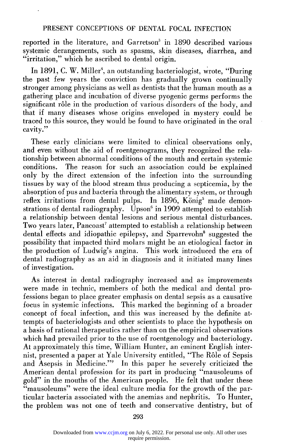reported in the literature, and Garretson<sup>3</sup> in 1890 described various systemic derangements, such as spasms, skin diseases, diarrhea, and "irritation," which he ascribed to dental origin.

In 1891, C. W. Miller<sup>4</sup>, an outstanding bacteriologist, wrote, "During the past few years the conviction has gradually grown continually stronger among physicians as well as dentists that the human mouth as a gathering place and incubation of diverse pyogenic germs performs the significant rôle in the production of various disorders of the body, and that if many diseases whose origins enveloped in mystery could be traced to this source, they would be found to have originated in the oral cavity."

These early clinicians were limited to clinical observations only, and even without the aid of roentgenograms, they recognized the relationship between abnormal conditions of the mouth and certain systemic conditions. The reason for such an association could be explained only by the direct extension of the infection into the surrounding tissues by way of the blood stream thus producing a septicemia, by the absorption of pus and bacteria through the alimentary system, or through reflex irritations from dental pulps. In 1896, König<sup>5</sup> made demonstrations of dental radiography. Upson<sup>6</sup> in 1909 attempted to establish a relationship between dental lesions and serious mental disturbances. Two years later, Pancoast<sup>7</sup> attempted to establish a relationship between dental effects and idiopathic epilepsy, and Sparrevohn<sup>8</sup> suggested the possibility that impacted third molars might be an etiological factor in the production of Ludwig's angina. This work introduced the era of dental radiography as an aid in diagnosis and it initiated many lines of investigation.

As interest in dental radiography increased and as improvements were made in technic, members of both the medical and dental professions began to place greater emphasis on dental sepsis as a causative focus in systemic infections. This marked the beginning of a broader concept of focal infection, and this was increased by the definite attempts of bacteriologists and other scientists to place the hypothesis on a basis of rational therapeutics rather than on the empirical observations which had prevailed prior to the use of roentgenology and bacteriology. At approximately this time, William Hunter, an eminent English internist, presented a paper at Yale University entitled, "The Role of Sepsis and Asepsis in Medicine."9 In this paper he severely criticized the American dental profession for its part in producing "mausoleums of gold" in the mouths of the American people. He felt that under these "mausoleums" were the ideal culture media for the growth of the particular bacteria associated with the anemias and nephritis. To Hunter, the problem was not one of teeth and conservative dentistry, but of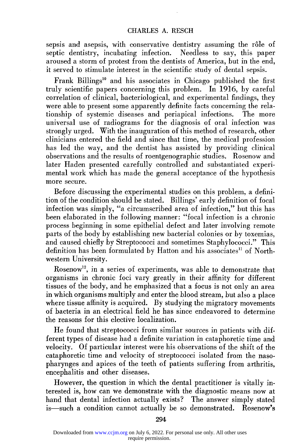sepsis and asepsis, with conservative dentistry assuming the rôle of septic dentistry, incubating infection. Needless to say, this paper aroused a storm of protest from the dentists of America, but in the end, it served to stimulate interest in the scientific study of dental sepsis.

Frank Billings<sup>10</sup> and his associates in Chicago published the first truly scientific papers concerning this problem. In 1916, by careful correlation of clinical, bacteriological, and experimental findings, they were able to present some apparently definite facts concerning the relationship of systemic diseases and periapical infections. The more universal use of radiograms for the diagnosis of oral infection was strongly urged. With the inauguration of this method of research, other clinicians entered the field and since that time, the medical profession has led the way, and the dentist has assisted by providing clinical observations and the results of roentgenographic studies. Rosenow and later Haden presented carefully controlled and substantiated experimental work which has made the general acceptance of the hypothesis more secure.

Before discussing the experimental studies on this problem, a definition of the condition should be stated. Billings' early definition of focal infection was simply, "a circumscribed area of infection," but this has been elaborated in the following manner: "focal infection is a chronic process beginning in some epithelial defect and later involving remote parts of the body by establishing new bacterial colonies or by toxemias, and caused chiefly by Streptococci and sometimes Staphylococci." This definition has been formulated by Hatton and his associates<sup>11</sup> of Northwestern University.

Rosenow12, in a series of experiments, was able to demonstrate that organisms in chronic foci vary greatly in their affinity for different tissues of the body, and he emphasized that a focus is not only an area in which organisms multiply and enter the blood stream, but also a place where tissue affinity is acquired. By studying the migratory movements of bacteria in an electrical field he has since endeavored to determine the reasons for this elective localization.

He found that streptococci from similar sources in patients with different types of disease had a definite variation in cataphoretic time and velocity. Of particular interest were his observations of the shift of the cataphoretic time and velocity of streptococci isolated from the nasopharynges and apices of the teeth of patients suffering from arthritis, encephalitis and other diseases.

However, the question in which the dental practitioner is vitally interested is, how can we demonstrate with the diagnostic means now at hand that dental infection actually exists? The answer simply stated is—such a condition cannot actually be so demonstrated. Rosenow's

require permission. Downloaded from [www.ccjm.org](http://www.ccjm.org/) on July 6, 2022. For personal use only. All other uses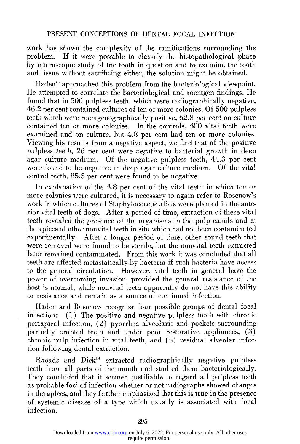work has shown the complexity of the ramifications surrounding the problem. If it were possible to classify the histopathological phase by microscopic study of the tooth in question and to examine the tooth and tissue without sacrificing either, the solution might be obtained.

Haden<sup>13</sup> approached this problem from the bacteriological viewpoint. He attempted to correlate the bacteriological and roentgen findings. He found that in 500 pulpless teeth, which were radiographically negative, 46.2 per cent contained cultures of ten or more colonies. Of 500 pulpless teeth which were roentgenographically positive, 62.8 per cent on culture contained ten or more colonies. In the controls, 400 vital teeth were examined and on culture, but 4.8 per cent had ten or more colonies. Viewing his results from a negative aspect, we find that of the positive pulpless teeth, 26 per cent were negative to bacterial growth in deep agar culture medium. Of the negative pulpless teeth, 44.3 per cent were found to be negative in deep agar culture medium. Of the vital control teeth, 85.5 per cent were found to be negative

In explanation of the 4.8 per cent of the vital teeth in which ten or more colonies were cultured, it is necessary to again refer to Rosenow's work in which cultures of Staphylococcus albus were planted in the anterior vital teeth of dogs. After a period of time, extraction of these vital teeth revealed the presence of the organisms in the pulp canals and at the apices of other nonvital teeth in situ which had not been contaminated experimentally. After a longer period of time, other sound teeth that were removed were found to be sterile, but the nonvital teeth extracted later remained contaminated. From this work it was concluded that all teeth are affected metastatically by bacteria if such bacteria have access to the general circulation. However, vital teeth in general have the power of overcoming invasion, provided the general resistance of the host is normal, while nonvital teeth apparently do not have this ability or resistance and remain as a source of continued infection.

Haden and Rosenow recognize four possible groups of dental focal infection: (1) The positive and negative pulpless tooth with chronic periapical infection, (2) pyorrhea alveolaris and pockets surrounding partially erupted teeth and under poor restorative appliances, (3) chronic pulp infection in vital teeth, and (4) residual alveolar infection following dental extraction.

Rhoads and Dick14 extracted radiographically negative pulpless teeth from all parts of the mouth and studied them bacteriologically. They concluded that it seemed justifiable to regard all pulpless teeth as probable foci of infection whether or not radiographs showed changes in the apices, and they further emphasized that this is true in the presence of systemic disease of a type which usually is associated with focal infection.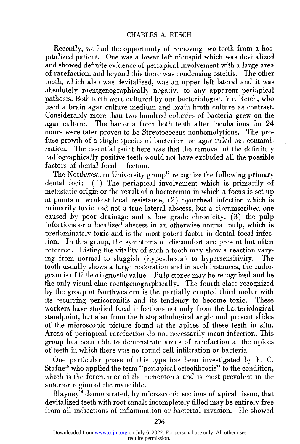Recently, we had the opportunity of removing two teeth from a hospitalized patient. One was a lower left bicuspid which was devitalized and showed definite evidence of periapical involvement with a large area of rarefaction, and beyond this there was condensing osteitis. The other tooth, which also was devitalized, was an upper left lateral and it was absolutely roentgenographically negative to any apparent periapical pathosis. Both teeth were cultured by our bacteriologist, Mr. Reich, who used a brain agar culture medium and brain broth culture as contrast. Considerably more than two hundred colonies of bacteria grew on the agar culture. The bacteria from both teeth after incubations for 24 hours were later proven to be Streptococcus nonhemolyticus. The profuse growth of a single species of bacterium on agar ruled out contamination. The essential point here was that the removal of the definitely radiographically positive teeth would not have excluded all the possible factors of dental focal infection.

The Northwestern University group<sup>11</sup> recognize the following primary dental foci: (1) The periapical involvement which is primarily of metastatic origin or the result of a bacteremia in which a focus is set up at points of weakest local resistance, (2) pyorrheal infection which is primarily toxic and not a true lateral abscess, but a circumscribed one caused by poor drainage and a low grade chronicity, (3) the pulp infections or a localized abscess in an otherwise normal pulp, which is predominately toxic and is the most potent factor in dental focal infection. In this group, the symptoms of discomfort are present but often referred. Listing the vitality of such a tooth may show a reaction varying from normal to sluggish (hypesthesia) to hypersensitivity. The tooth usually shows a large restoration and in such instances, the radiogram is of little diagnostic value. Pulp stones may be recognized and be the only visual clue roentgenographically. The fourth class recognized by the group at Northwestern is the partially erupted third molar with its recurring pericoronitis and its tendency to become toxic. These workers have studied focal infections not only from the bacteriological standpoint, but also from the histopathological angle and present slides of the microscopic picture found at the apices of these teeth in situ. Areas of periapical rarefaction do not necessarily mean infection. This group has been able to demonstrate areas of rarefaction at the apices of teeth in which there was no round cell infiltration or bacteria.

One particular phase of this type has been investigated by E. C. Stafne<sup>15</sup> who applied the term "periapical osteofibrosis" to the condition, which is the forerunner of the cementoma and is most prevalent in the anterior region of the mandible.

Blayney<sup>16</sup> demonstrated, by microscopic sections of apical tissue, that devitalized teeth with root canals incompletely filled may be entirely free from all indications of inflammation or bacterial invasion. He showed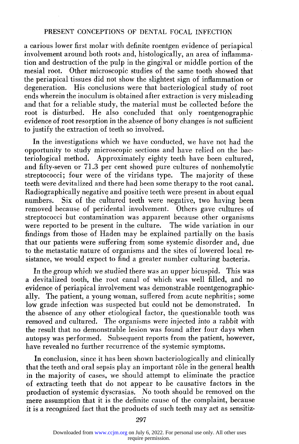a carious lower first molar with definite roentgen evidence of periapical involvement around hoth roots and, histologically, an area of inflammation and destruction of the pulp in the gingival or middle portion of the mesial root. Other microscopic studies of the same tooth showed that the periapical tissues did not show the slightest sign of inflammation or degeneration. His conclusions were that bacteriological study of root ends wherein the inoculum is obtained after extraction is very misleading and that for a reliable study, the material must be collected before the root is disturbed. He also concluded that only roentgenographic evidence of root resorption in the absence of bony changes is not sufficient to justify the extraction of teeth so involved.

In the investigations which we have conducted, we have not had the opportunity to study microscopic sections and have relied on the bacteriological method. Approximately eighty teeth have been cultured, and fifty-seven or 71.3 per cent showed pure cultures of nonhemolytic streptococci; four were of the viridans type. The majority of these teeth were devitalized and there had been some therapy to the root canal. Radiographically negative and positive teeth were present in about equal numbers. Six of the cultured teeth were negative, two having been removed because of peridental involvement. Others gave cultures of streptococci but contamination was apparent because other organisms were reported to be present in the culture. The wide variation in our findings from those of Haden may be explained partially on the basis that our patients were suffering from some systemic disorder and, due to the metastatic nature of organisms and the sites of lowered local resistance, we would expect to find a greater number culturing bacteria.

In the group which we studied there was an upper bicuspid. This was a devitalized tooth, the root canal of which was well filled, and no evidence of periapical involvement was demonstrable roentgenographically. The patient, a young woman, suffered from acute nephritis; some low grade infection was suspected but could not be demonstrated. the absence of any other etiological factor, the questionable tooth was removed and cultured. The organisms were injected into a rabbit with the result that no demonstrable lesion was found after four days when autopsy was performed. Subsequent reports from the patient, however, have revealed no further recurrence of the systemic symptoms.

In conclusion, since it has been shown bacteriologically and clinically that the teeth and oral sepsis play an important rôle in the general health in the majority of cases, we should attempt to eliminate the practice of extracting teeth that do not appear to be causative factors in the production of systemic dyscrasias. No tooth should be removed on the mere assumption that it is the definite cause of the complaint, because it is a recognized fact that the products of such teeth may act as sensitiz-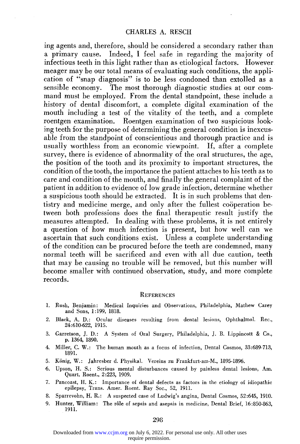ing agents and, therefore, should be considered a secondary rather than a primary cause. Indeed, I feel safe in regarding the majority of infectious teeth in this light rather than as etiological factors. However meager may be our total means of evaluating such conditions, the application of "snap diagnosis" is to be less condoned than extolled as a sensible economy. The most thorough diagnostic studies at our command must be employed. From the dental standpoint, these include a history of dental discomfort, a complete digital examination of the mouth including a test of the vitality of the teeth, and a complete roentgen examination. Roentgen examination of two suspicious looking teeth for the purpose of determining the general condition is inexcusable from the standpoint of conscientious and thorough practice and is usually worthless from an economic viewpoint. If, after a complete survey, there is evidence of abnormality of the oral structures, the age, the position of the tooth and its proximity to important structures, the condition of the tooth, the importance the patient attaches to his teeth as to care and condition of the mouth, and finally the general complaint of the patient in addition to evidence of low grade infection, determine whether a suspicious tooth should be extracted. It is in such problems that dentistry and medicine merge, and only after the fullest cooperation between both professions does the final therapeutic result justify the measures attempted. In dealing with these problems, it is not entirely a question of how much infection is present, but how well can we ascertain that such conditions exist. Unless a complete understanding of the condition can be procured before the teeth are condemned, many normal teeth will be sacrificed and even with all due caution, teeth that may be causing no trouble will be removed, but this number will become smaller with continued observation, study, and more complete records.

#### **REFERENCES**

- **1. Rush, Benjamin: Medical Inquiries and Observations, Philadelphia, Mathew Carey and Sons, 1:199, 1818.**
- **2. Black, A. D.: Ocular diseases resulting from dental lesions, Ophthalmol. Rec., 24:610-622, 1915.**
- **3. Garretson, J. D.: A System of Oral Surgery, Philadelphia, J. B. Lippincott & Co., p. 1364, 1890.**
- **4. Miller, C. W. : The human mouth as a focus of infection, Dental Cosmos, 33:689-713, 1891.**
- **5. Kiinig, W. : Jahresber d. Physikal. Vereins zu Frankfurt-am-M., 1895-1896.**
- **6. Upson, H. S.: Serious mental disturbances caused by painless dental lesions, Am. Quart. Roent., 2:223, 1909.**
- **7. Pancoast, H. K.: Importance of dental defects as factors in the etiology of idiopathic epilepsy, Trans. Amer. Roent. Ray Soc., 52, 1911.**
- **8. Sparrevohn, H. R.: A suspected case of Ludwig's angina, Dental Cosmos, 52:645, 1910.**
- **9. Hunter, William: The role of sepsis and asepsis in medicine, Dental Brief, 16:850-863, 1911.**